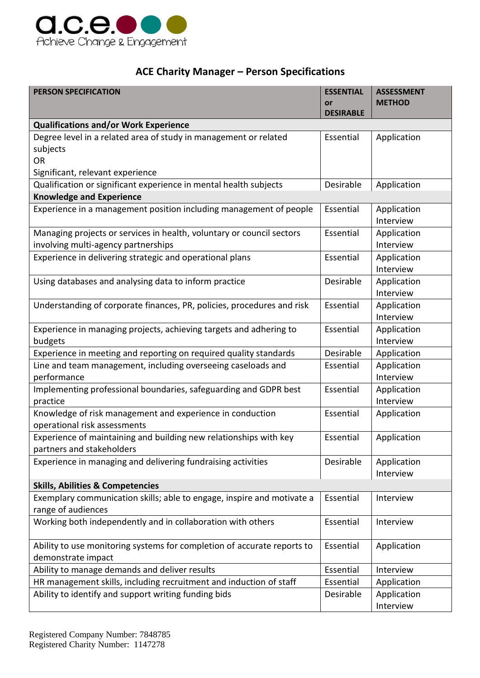

## **ACE Charity Manager – Person Specifications**

| <b>PERSON SPECIFICATION</b>                                                 | <b>ESSENTIAL</b><br>or | <b>ASSESSMENT</b><br><b>METHOD</b> |
|-----------------------------------------------------------------------------|------------------------|------------------------------------|
|                                                                             | <b>DESIRABLE</b>       |                                    |
| <b>Qualifications and/or Work Experience</b>                                |                        |                                    |
| Degree level in a related area of study in management or related            | Essential              | Application                        |
| subjects                                                                    |                        |                                    |
| <b>OR</b>                                                                   |                        |                                    |
| Significant, relevant experience                                            |                        |                                    |
| Qualification or significant experience in mental health subjects           | Desirable              | Application                        |
| <b>Knowledge and Experience</b>                                             |                        |                                    |
| Experience in a management position including management of people          | Essential              | Application<br>Interview           |
| Managing projects or services in health, voluntary or council sectors       | Essential              | Application                        |
| involving multi-agency partnerships                                         |                        | Interview                          |
| Experience in delivering strategic and operational plans                    | Essential              | Application                        |
|                                                                             |                        | Interview                          |
| Using databases and analysing data to inform practice                       | Desirable              | Application                        |
|                                                                             |                        | Interview                          |
| Understanding of corporate finances, PR, policies, procedures and risk      | Essential              | Application                        |
|                                                                             |                        | Interview                          |
| Experience in managing projects, achieving targets and adhering to          | Essential              | Application                        |
| budgets                                                                     |                        | Interview                          |
| Experience in meeting and reporting on required quality standards           | Desirable              | Application                        |
| Line and team management, including overseeing caseloads and<br>performance | Essential              | Application<br>Interview           |
| Implementing professional boundaries, safeguarding and GDPR best            | Essential              | Application                        |
| practice                                                                    |                        | Interview                          |
| Knowledge of risk management and experience in conduction                   | Essential              | Application                        |
| operational risk assessments                                                |                        |                                    |
| Experience of maintaining and building new relationships with key           | Essential              | Application                        |
| partners and stakeholders                                                   |                        |                                    |
| Experience in managing and delivering fundraising activities                | Desirable              | Application                        |
|                                                                             |                        | Interview                          |
| <b>Skills, Abilities &amp; Competencies</b>                                 |                        |                                    |
| Exemplary communication skills; able to engage, inspire and motivate a      | Essential              | Interview                          |
| range of audiences                                                          |                        |                                    |
| Working both independently and in collaboration with others                 | Essential              | Interview                          |
| Ability to use monitoring systems for completion of accurate reports to     | Essential              | Application                        |
| demonstrate impact                                                          |                        |                                    |
| Ability to manage demands and deliver results                               | Essential              | Interview                          |
| HR management skills, including recruitment and induction of staff          | Essential              | Application                        |
| Ability to identify and support writing funding bids                        | Desirable              | Application                        |
|                                                                             |                        | Interview                          |